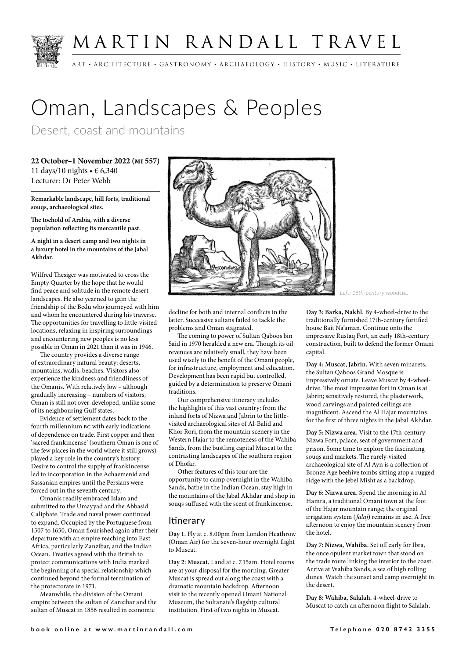

MARTIN RANDALL TRAVEL

ART • ARCHITECTURE • GASTRONOMY • ARCHAEOLOGY • HISTORY • MUSIC • LITERATURE

## Oman, Landscapes & Peoples

Desert, coast and mountains

**22 October–1 November 2022 (mi 557)** 11 days/10 nights • £ 6,340 Lecturer: Dr Peter Webb

**Remarkable landscape, hill forts, traditional souqs, archaeological sites.**

**The toehold of Arabia, with a diverse population reflecting its mercantile past.**

**A night in a desert camp and two nights in a luxury hotel in the mountains of the Jabal Akhdar.**

Wilfred Thesiger was motivated to cross the Empty Quarter by the hope that he would find peace and solitude in the remote desert landscapes. He also yearned to gain the friendship of the Bedu who journeyed with him and whom he encountered during his traverse. The opportunities for travelling to little-visited locations, relaxing in inspiring surroundings and encountering new peoples is no less possible in Oman in 2021 than it was in 1946.

The country provides a diverse range of extraordinary natural beauty: deserts, mountains, wadis, beaches. Visitors also experience the kindness and friendliness of the Omanis. With relatively low – although gradually increasing – numbers of visitors, Oman is still not over-developed, unlike some of its neighbouring Gulf states.

Evidence of settlement dates back to the fourth millennium bc with early indications of dependence on trade. First copper and then 'sacred frankincense' (southern Oman is one of the few places in the world where it still grows) played a key role in the country's history. Desire to control the supply of frankincense led to incorporation in the Achaemenid and Sassanian empires until the Persians were forced out in the seventh century.

Omanis readily embraced Islam and submitted to the Umayyad and the Abbasid Caliphate. Trade and naval power continued to expand. Occupied by the Portuguese from 1507 to 1650, Oman flourished again after their departure with an empire reaching into East Africa, particularly Zanzibar, and the Indian Ocean. Treaties agreed with the British to protect communications with India marked the beginning of a special relationship which continued beyond the formal termination of the protectorate in 1971.

Meanwhile, the division of the Omani empire between the sultan of Zanzibar and the sultan of Muscat in 1856 resulted in economic



decline for both and internal conflicts in the latter. Successive sultans failed to tackle the problems and Oman stagnated.

The coming to power of Sultan Qaboos bin Said in 1970 heralded a new era. Though its oil revenues are relatively small, they have been used wisely to the benefit of the Omani people, for infrastructure, employment and education. Development has been rapid but controlled, guided by a determination to preserve Omani traditions.

Our comprehensive itinerary includes the highlights of this vast country: from the inland forts of Nizwa and Jabrin to the littlevisited archaeological sites of Al-Balid and Khor Rori, from the mountain scenery in the Western Hajar to the remoteness of the Wahiba Sands, from the bustling capital Muscat to the contrasting landscapes of the southern region of Dhofar.

Other features of this tour are the opportunity to camp overnight in the Wahiba Sands, bathe in the Indian Ocean, stay high in the mountains of the Jabal Akhdar and shop in souqs suffused with the scent of frankincense.

## **Itinerary**

**Day 1.** Fly at c. 8.00pm from London Heathrow (Oman Air) for the seven-hour overnight flight to Muscat.

**Day 2: Muscat.** Land at c. 7.15am. Hotel rooms are at your disposal for the morning. Greater Muscat is spread out along the coast with a dramatic mountain backdrop. Afternoon visit to the recently opened Omani National Museum, the Sultanate's flagship cultural institution. First of two nights in Muscat.

*Left: 16th-century woodcut.*

**Day 3: Barka, Nakhl.** By 4-wheel-drive to the traditionally furnished 17th-century fortified house Bait Na'aman. Continue onto the impressive Rustaq Fort, an early 18th-century construction, built to defend the former Omani capital.

**Day 4: Muscat, Jabrin.** With seven minarets, the Sultan Qaboos Grand Mosque is impressively ornate. Leave Muscat by 4-wheeldrive. The most impressive fort in Oman is at Jabrin; sensitively restored, the plasterwork, wood carvings and painted ceilings are magnificent. Ascend the Al Hajar mountains for the first of three nights in the Jabal Akhdar.

**Day 5: Nizwa area.** Visit to the 17th-century Nizwa Fort, palace, seat of government and prison. Some time to explore the fascinating souqs and markets. The rarely-visited archaeological site of Al Ayn is a collection of Bronze Age beehive tombs sitting atop a rugged ridge with the Jebel Misht as a backdrop.

**Day 6: Nizwa area.** Spend the morning in Al Hamra, a traditional Omani town at the foot of the Hajar mountain range; the original irrigation system (*falaj*) remains in use. A free afternoon to enjoy the mountain scenery from the hotel.

**Day 7: Nizwa, Wahiba.** Set off early for Ibra, the once opulent market town that stood on the trade route linking the interior to the coast. Arrive at Wahiba Sands, a sea of high rolling dunes. Watch the sunset and camp overnight in the desert.

**Day 8: Wahiba, Salalah.** 4-wheel-drive to Muscat to catch an afternoon flight to Salalah,